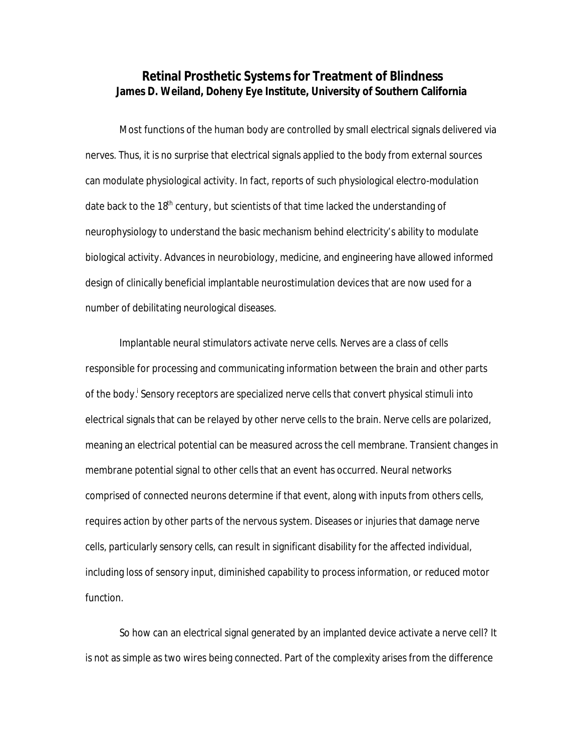# **Retinal Prosthetic Systems for Treatment of Blindness James D. Weiland, Doheny Eye Institute, University of Southern California**

 Most functions of the human body are controlled by small electrical signals delivered via nerves. Thus, it is no surprise that electrical signals applied to the body from external sources can modulate physiological activity. In fact, reports of such physiological electro-modulation date back to the 18<sup>th</sup> century, but scientists of that time lacked the understanding of neurophysiology to understand the basic mechanism behind electricity's ability to modulate biological activity. Advances in neurobiology, medicine, and engineering have allowed informed design of clinically beneficial implantable neurostimulation devices that are now used for a number of debilitating neurological diseases.

Implantable neural stimulators activate nerve cells. Nerves are a class of cells responsible for processing and communicating information between the brain and other parts of the body.<sup>i</sup> Sensory receptors are specialized nerve cells that convert physical stimuli into electrical signals that can be relayed by other nerve cells to the brain. Nerve cells are polarized, meaning an electrical potential can be measured across the cell membrane. Transient changes in membrane potential signal to other cells that an event has occurred. Neural networks comprised of connected neurons determine if that event, along with inputs from others cells, requires action by other parts of the nervous system. Diseases or injuries that damage nerve cells, particularly sensory cells, can result in significant disability for the affected individual, including loss of sensory input, diminished capability to process information, or reduced motor function.

So how can an electrical signal generated by an implanted device activate a nerve cell? It is not as simple as two wires being connected. Part of the complexity arises from the difference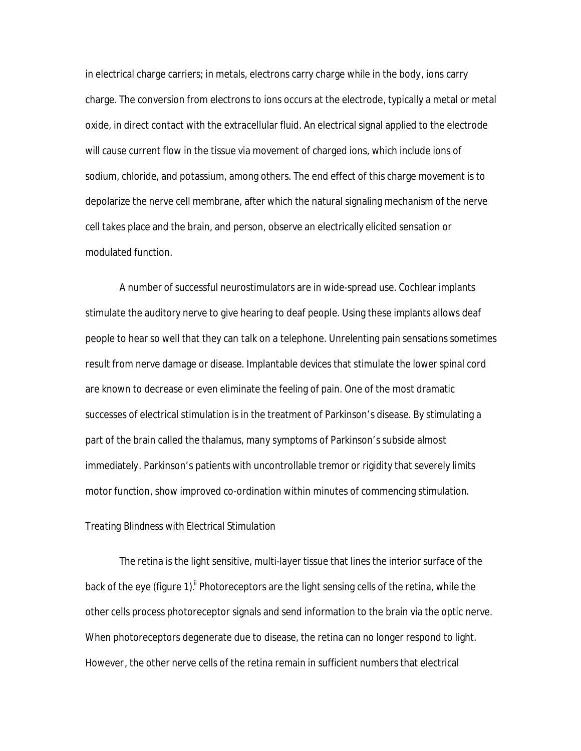in electrical charge carriers; in metals, electrons carry charge while in the body, ions carry charge. The conversion from electrons to ions occurs at the electrode, typically a metal or metal oxide, in direct contact with the extracellular fluid. An electrical signal applied to the electrode will cause current flow in the tissue via movement of charged ions, which include ions of sodium, chloride, and potassium, among others. The end effect of this charge movement is to depolarize the nerve cell membrane, after which the natural signaling mechanism of the nerve cell takes place and the brain, and person, observe an electrically elicited sensation or modulated function.

A number of successful neurostimulators are in wide-spread use. Cochlear implants stimulate the auditory nerve to give hearing to deaf people. Using these implants allows deaf people to hear so well that they can talk on a telephone. Unrelenting pain sensations sometimes result from nerve damage or disease. Implantable devices that stimulate the lower spinal cord are known to decrease or even eliminate the feeling of pain. One of the most dramatic successes of electrical stimulation is in the treatment of Parkinson's disease. By stimulating a part of the brain called the thalamus, many symptoms of Parkinson's subside almost immediately. Parkinson's patients with uncontrollable tremor or rigidity that severely limits motor function, show improved co-ordination within minutes of commencing stimulation.

## *Treating Blindness with Electrical Stimulation*

The retina is the light sensitive, multi-layer tissue that lines the interior surface of the back of the eye (figure 1).<sup>ii</sup> Photoreceptors are the light sensing cells of the retina, while the other cells process photoreceptor signals and send information to the brain via the optic nerve. When photoreceptors degenerate due to disease, the retina can no longer respond to light. However, the other nerve cells of the retina remain in sufficient numbers that electrical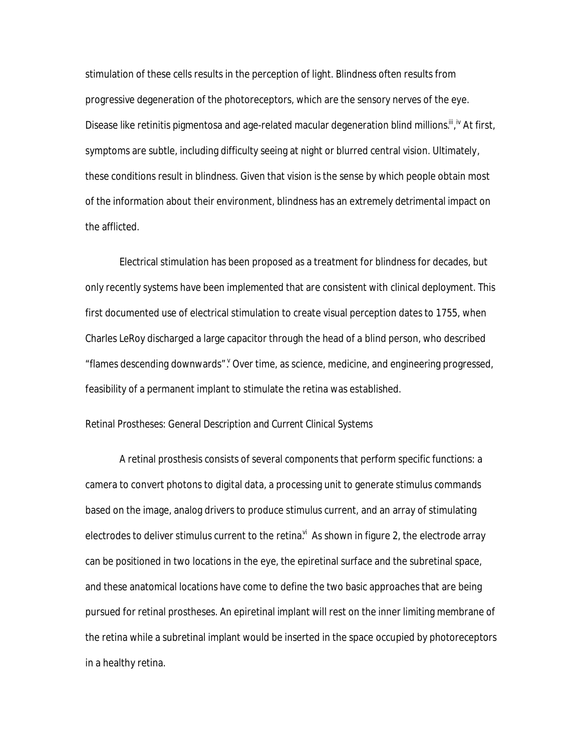stimulation of these cells results in the perception of light. Blindness often results from progressive degeneration of the photoreceptors, which are the sensory nerves of the eye. Disease like retinitis pigmentosa and age-related macular degeneration blind millions. III, iv At first, symptoms are subtle, including difficulty seeing at night or blurred central vision. Ultimately, these conditions result in blindness. Given that vision is the sense by which people obtain most of the information about their environment, blindness has an extremely detrimental impact on the afflicted.

Electrical stimulation has been proposed as a treatment for blindness for decades, but only recently systems have been implemented that are consistent with clinical deployment. This first documented use of electrical stimulation to create visual perception dates to 1755, when Charles LeRoy discharged a large capacitor through the head of a blind person, who described "flames descending downwards". Over time, as science, medicine, and engineering progressed, feasibility of a permanent implant to stimulate the retina was established.

## *Retinal Prostheses: General Description and Current Clinical Systems*

A retinal prosthesis consists of several components that perform specific functions: a camera to convert photons to digital data, a processing unit to generate stimulus commands based on the image, analog drivers to produce stimulus current, and an array of stimulating electrodes to deliver stimulus current to the retina.<sup>vi</sup> As shown in figure 2, the electrode array can be positioned in two locations in the eye, the epiretinal surface and the subretinal space, and these anatomical locations have come to define the two basic approaches that are being pursued for retinal prostheses. An epiretinal implant will rest on the inner limiting membrane of the retina while a subretinal implant would be inserted in the space occupied by photoreceptors in a healthy retina.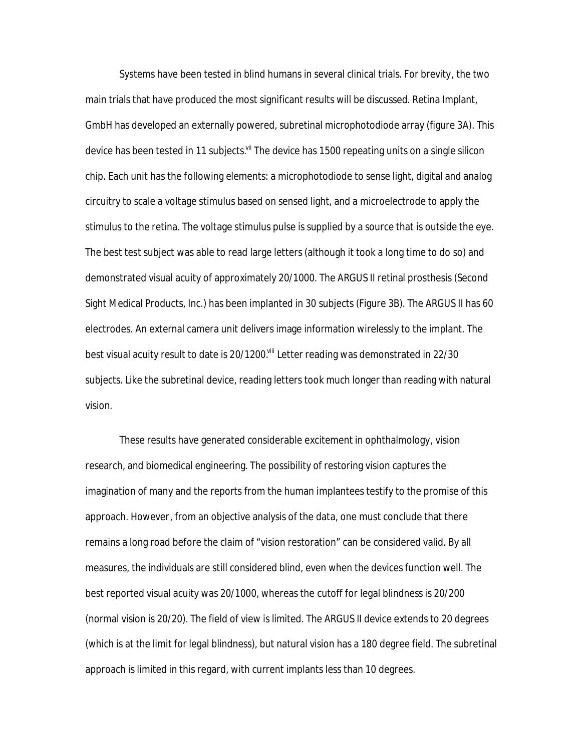Systems have been tested in blind humans in several clinical trials. For brevity, the two main trials that have produced the most significant results will be discussed. Retina Implant, GmbH has developed an externally powered, subretinal microphotodiode array (figure 3A). This device has been tested in 11 subjects.<sup>vii</sup> The device has 1500 repeating units on a single silicon chip. Each unit has the following elements: a microphotodiode to sense light, digital and analog circuitry to scale a voltage stimulus based on sensed light, and a microelectrode to apply the stimulus to the retina. The voltage stimulus pulse is supplied by a source that is outside the eye. The best test subject was able to read large letters (although it took a long time to do so) and demonstrated visual acuity of approximately 20/1000. The ARGUS II retinal prosthesis (Second Sight Medical Products, Inc.) has been implanted in 30 subjects (Figure 3B). The ARGUS II has 60 electrodes. An external camera unit delivers image information wirelessly to the implant. The best visual acuity result to date is 20/1200.<sup>viii</sup> Letter reading was demonstrated in 22/30 subjects. Like the subretinal device, reading letters took much longer than reading with natural vision.

These results have generated considerable excitement in ophthalmology, vision research, and biomedical engineering. The possibility of restoring vision captures the imagination of many and the reports from the human implantees testify to the promise of this approach. However, from an objective analysis of the data, one must conclude that there remains a long road before the claim of "vision restoration" can be considered valid. By all measures, the individuals are still considered blind, even when the devices function well. The best reported visual acuity was 20/1000, whereas the cutoff for legal blindness is 20/200 (normal vision is 20/20). The field of view is limited. The ARGUS II device extends to 20 degrees (which is at the limit for legal blindness), but natural vision has a 180 degree field. The subretinal approach is limited in this regard, with current implants less than 10 degrees.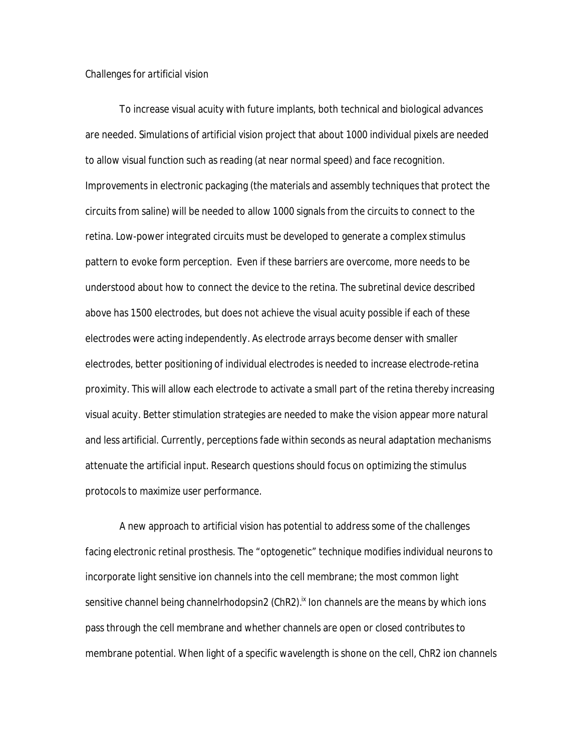### *Challenges for artificial vision*

To increase visual acuity with future implants, both technical and biological advances are needed. Simulations of artificial vision project that about 1000 individual pixels are needed to allow visual function such as reading (at near normal speed) and face recognition. Improvements in electronic packaging (the materials and assembly techniques that protect the circuits from saline) will be needed to allow 1000 signals from the circuits to connect to the retina. Low-power integrated circuits must be developed to generate a complex stimulus pattern to evoke form perception. Even if these barriers are overcome, more needs to be understood about how to connect the device to the retina. The subretinal device described above has 1500 electrodes, but does not achieve the visual acuity possible if each of these electrodes were acting independently. As electrode arrays become denser with smaller electrodes, better positioning of individual electrodes is needed to increase electrode-retina proximity. This will allow each electrode to activate a small part of the retina thereby increasing visual acuity. Better stimulation strategies are needed to make the vision appear more natural and less artificial. Currently, perceptions fade within seconds as neural adaptation mechanisms attenuate the artificial input. Research questions should focus on optimizing the stimulus protocols to maximize user performance.

A new approach to artificial vision has potential to address some of the challenges facing electronic retinal prosthesis. The "optogenetic" technique modifies individual neurons to incorporate light sensitive ion channels into the cell membrane; the most common light sensitive channel being channelrhodopsin2 (ChR2).<sup>ix</sup> Ion channels are the means by which ions pass through the cell membrane and whether channels are open or closed contributes to membrane potential. When light of a specific wavelength is shone on the cell, ChR2 ion channels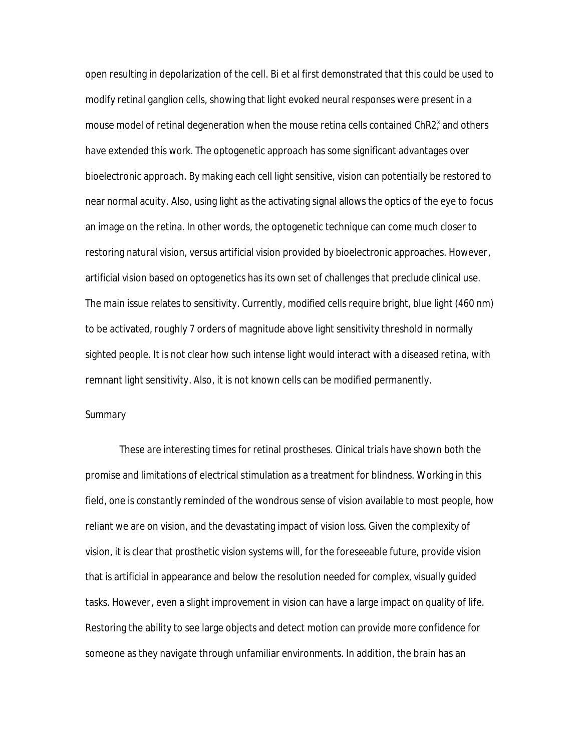open resulting in depolarization of the cell. Bi et al first demonstrated that this could be used to modify retinal ganglion cells, showing that light evoked neural responses were present in a mouse model of retinal degeneration when the mouse retina cells contained ChR2<sup>x</sup> and others have extended this work. The optogenetic approach has some significant advantages over bioelectronic approach. By making each cell light sensitive, vision can potentially be restored to near normal acuity. Also, using light as the activating signal allows the optics of the eye to focus an image on the retina. In other words, the optogenetic technique can come much closer to restoring natural vision, versus artificial vision provided by bioelectronic approaches. However, artificial vision based on optogenetics has its own set of challenges that preclude clinical use. The main issue relates to sensitivity. Currently, modified cells require bright, blue light (460 nm) to be activated, roughly 7 orders of magnitude above light sensitivity threshold in normally sighted people. It is not clear how such intense light would interact with a diseased retina, with remnant light sensitivity. Also, it is not known cells can be modified permanently.

### *Summary*

These are interesting times for retinal prostheses. Clinical trials have shown both the promise and limitations of electrical stimulation as a treatment for blindness. Working in this field, one is constantly reminded of the wondrous sense of vision available to most people, how reliant we are on vision, and the devastating impact of vision loss. Given the complexity of vision, it is clear that prosthetic vision systems will, for the foreseeable future, provide vision that is artificial in appearance and below the resolution needed for complex, visually guided tasks. However, even a slight improvement in vision can have a large impact on quality of life. Restoring the ability to see large objects and detect motion can provide more confidence for someone as they navigate through unfamiliar environments. In addition, the brain has an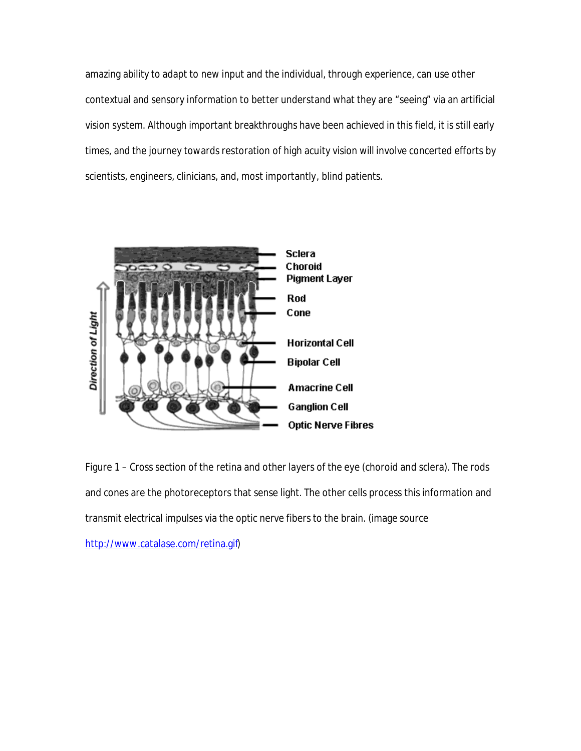amazing ability to adapt to new input and the individual, through experience, can use other contextual and sensory information to better understand what they are "seeing" via an artificial vision system. Although important breakthroughs have been achieved in this field, it is still early times, and the journey towards restoration of high acuity vision will involve concerted efforts by scientists, engineers, clinicians, and, most importantly, blind patients.



Figure 1 – Cross section of the retina and other layers of the eye (choroid and sclera). The rods and cones are the photoreceptors that sense light. The other cells process this information and transmit electrical impulses via the optic nerve fibers to the brain. (image source

<http://www.catalase.com/retina.gif>)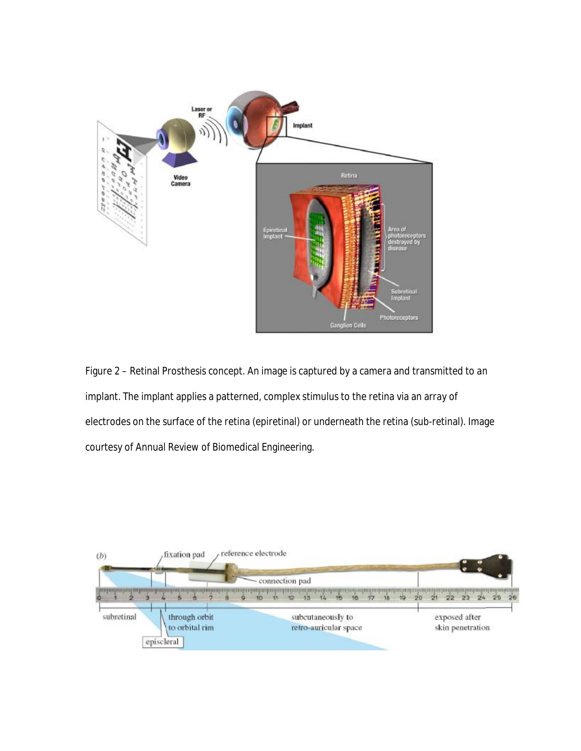

Figure 2 – Retinal Prosthesis concept. An image is captured by a camera and transmitted to an implant. The implant applies a patterned, complex stimulus to the retina via an array of electrodes on the surface of the retina (epiretinal) or underneath the retina (sub-retinal). Image courtesy of Annual Review of Biomedical Engineering.

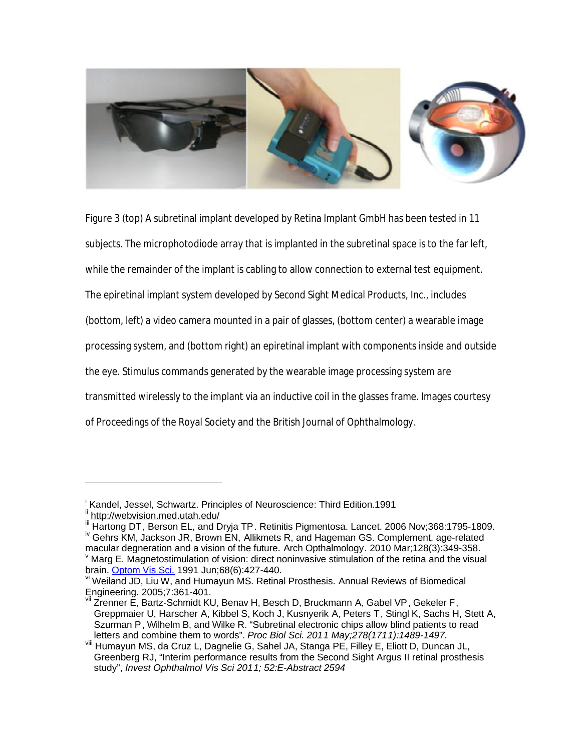

Figure 3 (top) A subretinal implant developed by Retina Implant GmbH has been tested in 11 subjects. The microphotodiode array that is implanted in the subretinal space is to the far left, while the remainder of the implant is cabling to allow connection to external test equipment. The epiretinal implant system developed by Second Sight Medical Products, Inc., includes (bottom, left) a video camera mounted in a pair of glasses, (bottom center) a wearable image processing system, and (bottom right) an epiretinal implant with components inside and outside the eye. Stimulus commands generated by the wearable image processing system are transmitted wirelessly to the implant via an inductive coil in the glasses frame. Images courtesy of Proceedings of the Royal Society and the British Journal of Ophthalmology.

 $\overline{a}$ 

i Kandel, Jessel, Schwartz. Principles of Neuroscience: Third Edition.1991

i<sup>i</sup> <http://webvision.med.utah.edu/>

Hartong DT, Berson EL, and Dryja TP. Retinitis Pigmentosa. Lancet. 2006 Nov;368:1795-1809. <sup>iv</sup> Gehrs KM, Jackson JR, Brown EN, Allikmets R, and Hageman GS. Complement, age-related

macular degneration and a vision of the future. Arch Opthalmology. 2010 Mar;128(3):349-358. v Marg E. Magnetostimulation of vision: direct noninvasive stimulation of the retina and the visual brain. Optom Vis Sci. 1991 Jun;68(6):427-440.

vi Weiland JD, Liu W, and Humayun MS. Retinal Prosthesis. Annual Reviews of Biomedical Engineering. 2005;7:361-401.

Zrenner E, Bartz-Schmidt KU, Benav H, Besch D, Bruckmann A, Gabel VP, Gekeler F, Greppmaier U, Harscher A, Kibbel S, Koch J, Kusnyerik A, Peters T, Stingl K, Sachs H, Stett A, Szurman P, Wilhelm B, and Wilke R. "Subretinal electronic chips allow blind patients to read letters and combine them to words". *Proc Biol Sci. 2011 May;278(1711):1489-1497.*

viii Humayun MS, da Cruz L, Dagnelie G, Sahel JA, Stanga PE, Filley E, Eliott D, Duncan JL, Greenberg RJ, "Interim performance results from the Second Sight Argus II retinal prosthesis study", *Invest Ophthalmol Vis Sci 2011; 52:E-Abstract 2594*